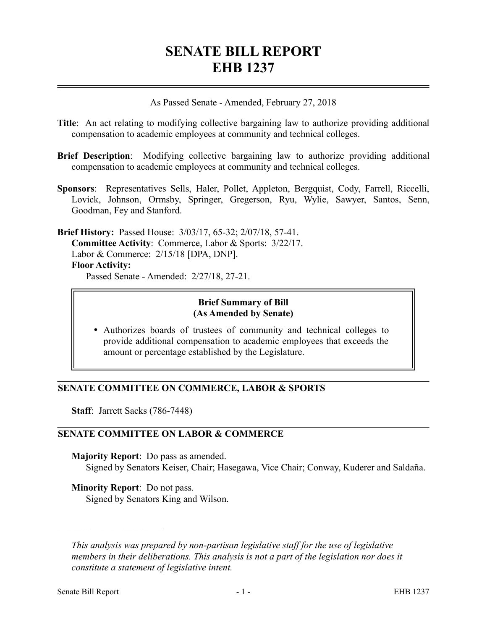# **SENATE BILL REPORT EHB 1237**

As Passed Senate - Amended, February 27, 2018

- **Title**: An act relating to modifying collective bargaining law to authorize providing additional compensation to academic employees at community and technical colleges.
- **Brief Description**: Modifying collective bargaining law to authorize providing additional compensation to academic employees at community and technical colleges.
- **Sponsors**: Representatives Sells, Haler, Pollet, Appleton, Bergquist, Cody, Farrell, Riccelli, Lovick, Johnson, Ormsby, Springer, Gregerson, Ryu, Wylie, Sawyer, Santos, Senn, Goodman, Fey and Stanford.

**Brief History:** Passed House: 3/03/17, 65-32; 2/07/18, 57-41. **Committee Activity**: Commerce, Labor & Sports: 3/22/17. Labor & Commerce: 2/15/18 [DPA, DNP]. **Floor Activity:** Passed Senate - Amended: 2/27/18, 27-21.

#### **Brief Summary of Bill (As Amended by Senate)**

 Authorizes boards of trustees of community and technical colleges to provide additional compensation to academic employees that exceeds the amount or percentage established by the Legislature.

## **SENATE COMMITTEE ON COMMERCE, LABOR & SPORTS**

**Staff**: Jarrett Sacks (786-7448)

## **SENATE COMMITTEE ON LABOR & COMMERCE**

**Majority Report**: Do pass as amended.

Signed by Senators Keiser, Chair; Hasegawa, Vice Chair; Conway, Kuderer and Saldaña.

**Minority Report**: Do not pass.

Signed by Senators King and Wilson.

––––––––––––––––––––––

*This analysis was prepared by non-partisan legislative staff for the use of legislative members in their deliberations. This analysis is not a part of the legislation nor does it constitute a statement of legislative intent.*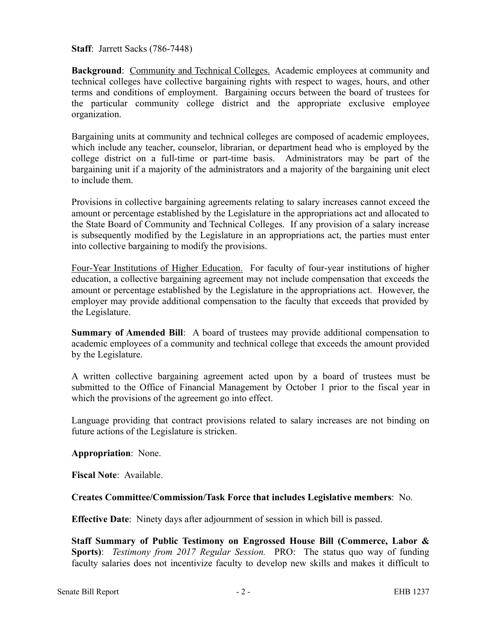**Staff**: Jarrett Sacks (786-7448)

**Background**: Community and Technical Colleges. Academic employees at community and technical colleges have collective bargaining rights with respect to wages, hours, and other terms and conditions of employment. Bargaining occurs between the board of trustees for the particular community college district and the appropriate exclusive employee organization.

Bargaining units at community and technical colleges are composed of academic employees, which include any teacher, counselor, librarian, or department head who is employed by the college district on a full-time or part-time basis. Administrators may be part of the bargaining unit if a majority of the administrators and a majority of the bargaining unit elect to include them.

Provisions in collective bargaining agreements relating to salary increases cannot exceed the amount or percentage established by the Legislature in the appropriations act and allocated to the State Board of Community and Technical Colleges. If any provision of a salary increase is subsequently modified by the Legislature in an appropriations act, the parties must enter into collective bargaining to modify the provisions.

Four-Year Institutions of Higher Education. For faculty of four-year institutions of higher education, a collective bargaining agreement may not include compensation that exceeds the amount or percentage established by the Legislature in the appropriations act. However, the employer may provide additional compensation to the faculty that exceeds that provided by the Legislature.

**Summary of Amended Bill**: A board of trustees may provide additional compensation to academic employees of a community and technical college that exceeds the amount provided by the Legislature.

A written collective bargaining agreement acted upon by a board of trustees must be submitted to the Office of Financial Management by October 1 prior to the fiscal year in which the provisions of the agreement go into effect.

Language providing that contract provisions related to salary increases are not binding on future actions of the Legislature is stricken.

**Appropriation**: None.

**Fiscal Note**: Available.

## **Creates Committee/Commission/Task Force that includes Legislative members**: No.

**Effective Date**: Ninety days after adjournment of session in which bill is passed.

**Staff Summary of Public Testimony on Engrossed House Bill (Commerce, Labor & Sports)**: *Testimony from 2017 Regular Session.* PRO: The status quo way of funding faculty salaries does not incentivize faculty to develop new skills and makes it difficult to